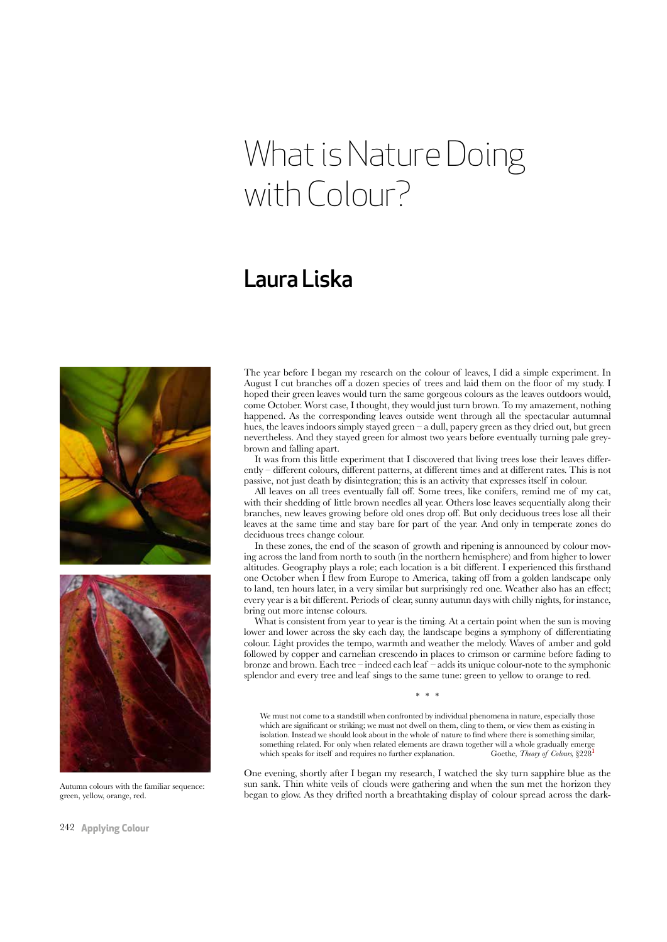## What is Nature Doing with Colour?

## Laura Liska



Autumn colours with the familiar sequence: green, yellow, orange, red.

The year before I began my research on the colour of leaves, I did a simple experiment. In August I cut branches of a dozen species of trees and laid them on the foor of my study. I hoped their green leaves would turn the same gorgeous colours as the leaves outdoors would, come October. Worst case, I thought, they would just turn brown. To my amazement, nothing happened. As the corresponding leaves outside went through all the spectacular autumnal hues, the leaves indoors simply stayed green – a dull, papery green as they dried out, but green nevertheless. And they stayed green for almost two years before eventually turning pale greybrown and falling apart.

It was from this little experiment that I discovered that living trees lose their leaves diferently – diferent colours, diferent patterns, at diferent times and at diferent rates. This is not passive, not just death by disintegration; this is an activity that expresses itself in colour.

All leaves on all trees eventually fall of. Some trees, like conifers, remind me of my cat, with their shedding of little brown needles all year. Others lose leaves sequentially along their branches, new leaves growing before old ones drop of. But only deciduous trees lose all their leaves at the same time and stay bare for part of the year. And only in temperate zones do deciduous trees change colour.

In these zones, the end of the season of growth and ripening is announced by colour moving across the land from north to south (in the northern hemisphere) and from higher to lower altitudes. Geography plays a role; each location is a bit diferent. I experienced this frsthand one October when I few from Europe to America, taking of from a golden landscape only to land, ten hours later, in a very similar but surprisingly red one. Weather also has an efect; every year is a bit diferent. Periods of clear, sunny autumn days with chilly nights, for instance, bring out more intense colours.

What is consistent from year to year is the timing. At a certain point when the sun is moving lower and lower across the sky each day, the landscape begins a symphony of diferentiating colour. Light provides the tempo, warmth and weather the melody. Waves of amber and gold followed by copper and carnelian crescendo in places to crimson or carmine before fading to bronze and brown. Each tree – indeed each leaf – adds its unique colour-note to the symphonic splendor and every tree and leaf sings to the same tune: green to yellow to orange to red.

We must not come to a standstill when confronted by individual phenomena in nature, especially those which are signifcant or striking; we must not dwell on them, cling to them, or view them as existing in isolation. Instead we should look about in the whole of nature to fnd where there is something similar, something related. For only when related elements are drawn together will a whole gradually emerge which speaks for itself and requires no further explanation. Goethe, Theory of Colours, §228<sup>1</sup>

\* \* \*

One evening, shortly after I began my research, I watched the sky turn sapphire blue as the sun sank. Thin white veils of clouds were gathering and when the sun met the horizon they began to glow. As they drifted north a breathtaking display of colour spread across the dark-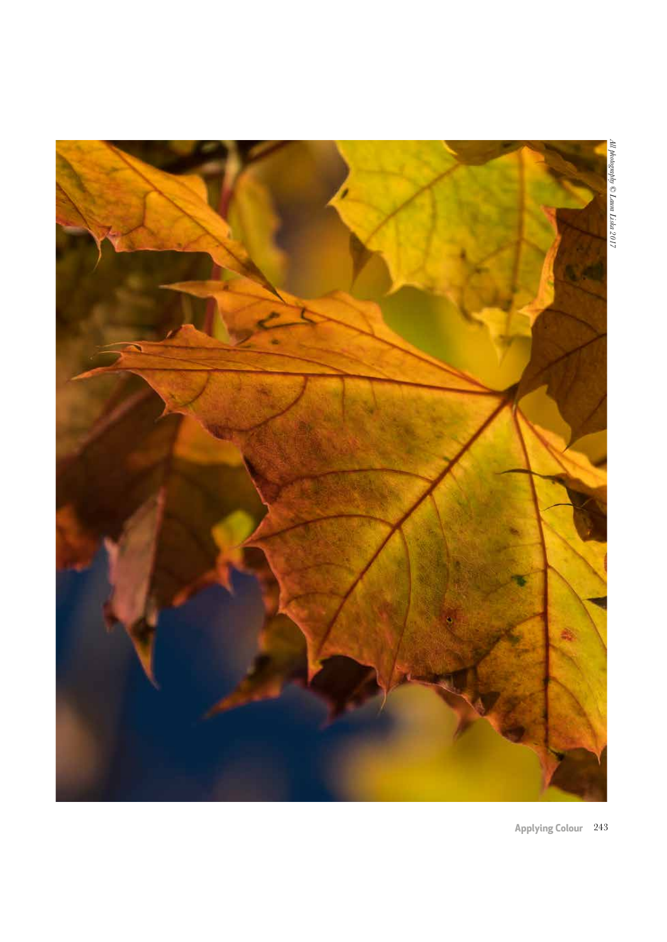

**Applying Colour** 243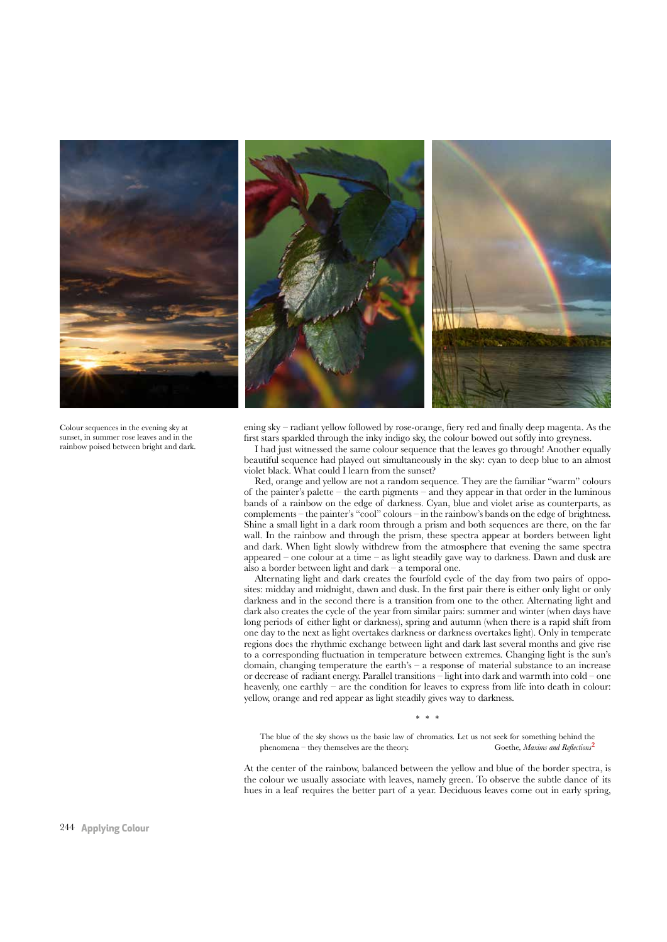

Colour sequences in the evening sky at sunset, in summer rose leaves and in the rainbow poised between bright and dark. ening sky – radiant yellow followed by rose-orange, fery red and fnally deep magenta. As the frst stars sparkled through the inky indigo sky, the colour bowed out softly into greyness.

I had just witnessed the same colour sequence that the leaves go through! Another equally beautiful sequence had played out simultaneously in the sky: cyan to deep blue to an almost violet black. What could I learn from the sunset?

Red, orange and yellow are not a random sequence. They are the familiar "warm" colours of the painter's palette – the earth pigments – and they appear in that order in the luminous bands of a rainbow on the edge of darkness. Cyan, blue and violet arise as counterparts, as complements – the painter's "cool" colours – in the rainbow's bands on the edge of brightness. Shine a small light in a dark room through a prism and both sequences are there, on the far wall. In the rainbow and through the prism, these spectra appear at borders between light and dark. When light slowly withdrew from the atmosphere that evening the same spectra appeared – one colour at a time – as light steadily gave way to darkness. Dawn and dusk are also a border between light and dark – a temporal one.

Alternating light and dark creates the fourfold cycle of the day from two pairs of opposites: midday and midnight, dawn and dusk. In the frst pair there is either only light or only darkness and in the second there is a transition from one to the other. Alternating light and dark also creates the cycle of the year from similar pairs: summer and winter (when days have long periods of either light or darkness), spring and autumn (when there is a rapid shift from one day to the next as light overtakes darkness or darkness overtakes light). Only in temperate regions does the rhythmic exchange between light and dark last several months and give rise to a corresponding fuctuation in temperature between extremes. Changing light is the sun's domain, changing temperature the earth's  $-$  a response of material substance to an increase or decrease of radiant energy. Parallel transitions – light into dark and warmth into cold – one heavenly, one earthly – are the condition for leaves to express from life into death in colour: yellow, orange and red appear as light steadily gives way to darkness.

\* \* \*

The blue of the sky shows us the basic law of chromatics. Let us not seek for something behind the phenomena – they themselves are the theory. Goethe, *Maxims and Reflections*<sup>2</sup>

At the center of the rainbow, balanced between the yellow and blue of the border spectra, is the colour we usually associate with leaves, namely green. To observe the subtle dance of its hues in a leaf requires the better part of a year. Deciduous leaves come out in early spring,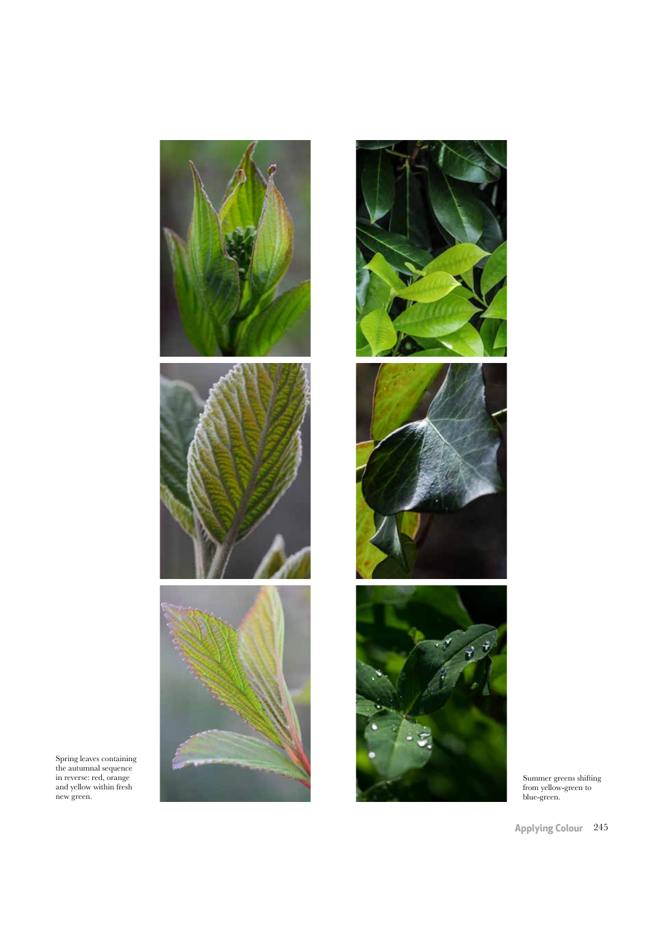







Summer greens shifting from yellow-green to blue-green.

Spring leaves containing the autumnal sequence in reverse: red, orange and yellow within fresh new green.

**Applying Colour** 245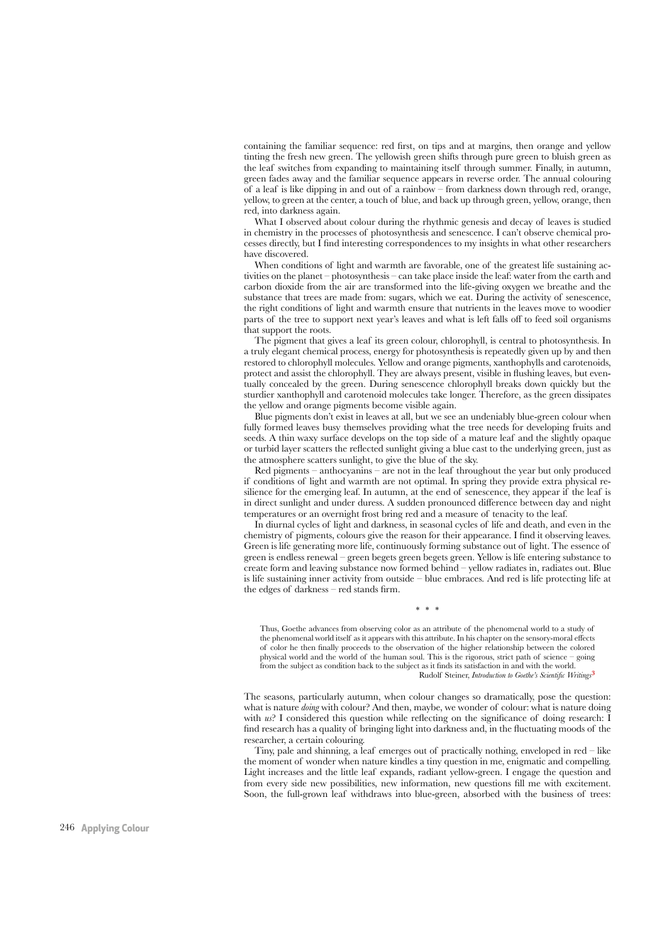containing the familiar sequence: red frst, on tips and at margins, then orange and yellow tinting the fresh new green. The yellowish green shifts through pure green to bluish green as the leaf switches from expanding to maintaining itself through summer. Finally, in autumn, green fades away and the familiar sequence appears in reverse order. The annual colouring of a leaf is like dipping in and out of a rainbow – from darkness down through red, orange, yellow, to green at the center, a touch of blue, and back up through green, yellow, orange, then red, into darkness again.

What I observed about colour during the rhythmic genesis and decay of leaves is studied in chemistry in the processes of photosynthesis and senescence. I can't observe chemical processes directly, but I fnd interesting correspondences to my insights in what other researchers have discovered.

When conditions of light and warmth are favorable, one of the greatest life sustaining activities on the planet – photosynthesis – can take place inside the leaf: water from the earth and carbon dioxide from the air are transformed into the life-giving oxygen we breathe and the substance that trees are made from: sugars, which we eat. During the activity of senescence, the right conditions of light and warmth ensure that nutrients in the leaves move to woodier parts of the tree to support next year's leaves and what is left falls off to feed soil organisms that support the roots.

The pigment that gives a leaf its green colour, chlorophyll, is central to photosynthesis. In a truly elegant chemical process, energy for photosynthesis is repeatedly given up by and then restored to chlorophyll molecules. Yellow and orange pigments, xanthophylls and carotenoids, protect and assist the chlorophyll. They are always present, visible in fushing leaves, but eventually concealed by the green. During senescence chlorophyll breaks down quickly but the sturdier xanthophyll and carotenoid molecules take longer. Therefore, as the green dissipates the yellow and orange pigments become visible again.

Blue pigments don't exist in leaves at all, but we see an undeniably blue-green colour when fully formed leaves busy themselves providing what the tree needs for developing fruits and seeds. A thin waxy surface develops on the top side of a mature leaf and the slightly opaque or turbid layer scatters the refected sunlight giving a blue cast to the underlying green, just as the atmosphere scatters sunlight, to give the blue of the sky.

Red pigments – anthocyanins – are not in the leaf throughout the year but only produced if conditions of light and warmth are not optimal. In spring they provide extra physical resilience for the emerging leaf. In autumn, at the end of senescence, they appear if the leaf is in direct sunlight and under duress. A sudden pronounced diference between day and night temperatures or an overnight frost bring red and a measure of tenacity to the leaf.

In diurnal cycles of light and darkness, in seasonal cycles of life and death, and even in the chemistry of pigments, colours give the reason for their appearance. I fnd it observing leaves. Green is life generating more life, continuously forming substance out of light. The essence of green is endless renewal – green begets green begets green. Yellow is life entering substance to create form and leaving substance now formed behind – yellow radiates in, radiates out. Blue is life sustaining inner activity from outside – blue embraces. And red is life protecting life at the edges of darkness – red stands frm.

Thus, Goethe advances from observing color as an attribute of the phenomenal world to a study of the phenomenal world itself as it appears with this attribute. In his chapter on the sensory-moral efects of color he then fnally proceeds to the observation of the higher relationship between the colored physical world and the world of the human soul. This is the rigorous, strict path of science – going from the subject as condition back to the subject as it fnds its satisfaction in and with the world. Rudolf Steiner, *Introduction to Goethe's Scientific Writings*<sup>3</sup>

\* \* \*

The seasons, particularly autumn, when colour changes so dramatically, pose the question: what is nature *doing* with colour? And then, maybe, we wonder of colour: what is nature doing with *us*? I considered this question while reflecting on the significance of doing research: I fnd research has a quality of bringing light into darkness and, in the fuctuating moods of the researcher, a certain colouring.

Tiny, pale and shinning, a leaf emerges out of practically nothing, enveloped in red – like the moment of wonder when nature kindles a tiny question in me, enigmatic and compelling. Light increases and the little leaf expands, radiant yellow-green. I engage the question and from every side new possibilities, new information, new questions fll me with excitement. Soon, the full-grown leaf withdraws into blue-green, absorbed with the business of trees: